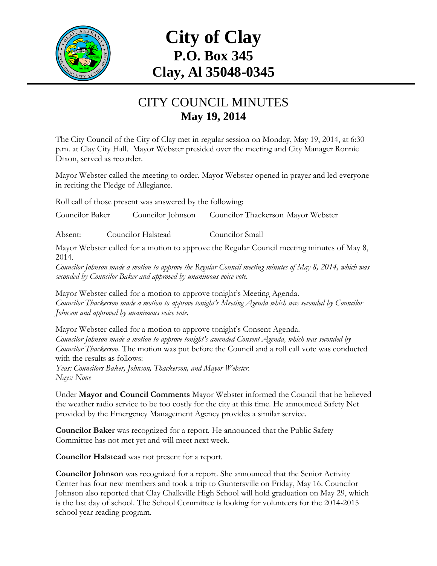

## **City of Clay P.O. Box 345 Clay, Al 35048-0345**

## CITY COUNCIL MINUTES **May 19, 2014**

The City Council of the City of Clay met in regular session on Monday, May 19, 2014, at 6:30 p.m. at Clay City Hall. Mayor Webster presided over the meeting and City Manager Ronnie Dixon, served as recorder.

Mayor Webster called the meeting to order. Mayor Webster opened in prayer and led everyone in reciting the Pledge of Allegiance.

Roll call of those present was answered by the following:

Councilor Baker Councilor Johnson Councilor Thackerson Mayor Webster

Absent: Councilor Halstead Councilor Small

Mayor Webster called for a motion to approve the Regular Council meeting minutes of May 8, 2014.

*Councilor Johnson made a motion to approve the Regular Council meeting minutes of May 8, 2014, which was seconded by Councilor Baker and approved by unanimous voice vote.*

Mayor Webster called for a motion to approve tonight's Meeting Agenda. *Councilor Thackerson made a motion to approve tonight's Meeting Agenda which was seconded by Councilor Johnson and approved by unanimous voice vote.*

Mayor Webster called for a motion to approve tonight's Consent Agenda. *Councilor Johnson made a motion to approve tonight's amended Consent Agenda, which was seconded by Councilor Thackerson.* The motion was put before the Council and a roll call vote was conducted with the results as follows: *Yeas: Councilors Baker, Johnson, Thackerson, and Mayor Webster. Nays: None*

Under **Mayor and Council Comments** Mayor Webster informed the Council that he believed the weather radio service to be too costly for the city at this time. He announced Safety Net provided by the Emergency Management Agency provides a similar service.

**Councilor Baker** was recognized for a report. He announced that the Public Safety Committee has not met yet and will meet next week.

**Councilor Halstead** was not present for a report.

**Councilor Johnson** was recognized for a report. She announced that the Senior Activity Center has four new members and took a trip to Guntersville on Friday, May 16. Councilor Johnson also reported that Clay Chalkville High School will hold graduation on May 29, which is the last day of school. The School Committee is looking for volunteers for the 2014-2015 school year reading program.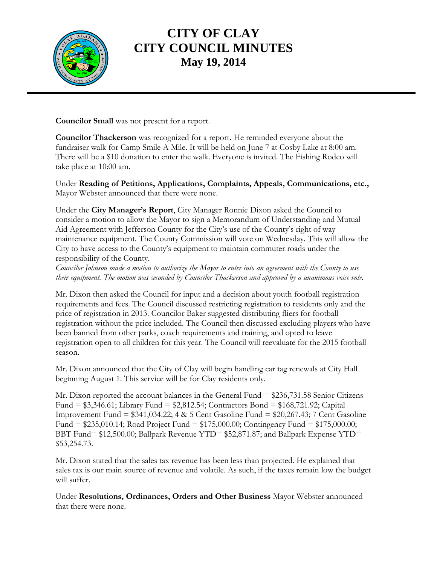

## **CITY OF CLAY CITY COUNCIL MINUTES May 19, 2014**

**Councilor Small** was not present for a report.

**Councilor Thackerson** was recognized for a report**.** He reminded everyone about the fundraiser walk for Camp Smile A Mile. It will be held on June 7 at Cosby Lake at 8:00 am. There will be a \$10 donation to enter the walk. Everyone is invited. The Fishing Rodeo will take place at 10:00 am.

Under **Reading of Petitions, Applications, Complaints, Appeals, Communications, etc.,** Mayor Webster announced that there were none.

Under the **City Manager's Report**, City Manager Ronnie Dixon asked the Council to consider a motion to allow the Mayor to sign a Memorandum of Understanding and Mutual Aid Agreement with Jefferson County for the City's use of the County's right of way maintenance equipment. The County Commission will vote on Wednesday. This will allow the City to have access to the County's equipment to maintain commuter roads under the responsibility of the County.

*Councilor Johnson made a motion to authorize the Mayor to enter into an agreement with the County to use their equipment. The motion was seconded by Councilor Thackerson and approved by a unanimous voice vote.*

Mr. Dixon then asked the Council for input and a decision about youth football registration requirements and fees. The Council discussed restricting registration to residents only and the price of registration in 2013. Councilor Baker suggested distributing fliers for football registration without the price included. The Council then discussed excluding players who have been banned from other parks, coach requirements and training, and opted to leave registration open to all children for this year. The Council will reevaluate for the 2015 football season.

Mr. Dixon announced that the City of Clay will begin handling car tag renewals at City Hall beginning August 1. This service will be for Clay residents only.

Mr. Dixon reported the account balances in the General Fund = \$236,731.58 Senior Citizens Fund = \$3,346.61; Library Fund = \$2,812.54; Contractors Bond = \$168,721.92; Capital Improvement Fund = \$341,034.22; 4 & 5 Cent Gasoline Fund = \$20,267.43; 7 Cent Gasoline Fund = \$235,010.14; Road Project Fund = \$175,000.00; Contingency Fund = \$175,000.00; BBT Fund= \$12,500.00; Ballpark Revenue YTD= \$52,871.87; and Ballpark Expense YTD= - \$53,254.73.

Mr. Dixon stated that the sales tax revenue has been less than projected. He explained that sales tax is our main source of revenue and volatile. As such, if the taxes remain low the budget will suffer.

Under **Resolutions, Ordinances, Orders and Other Business** Mayor Webster announced that there were none.